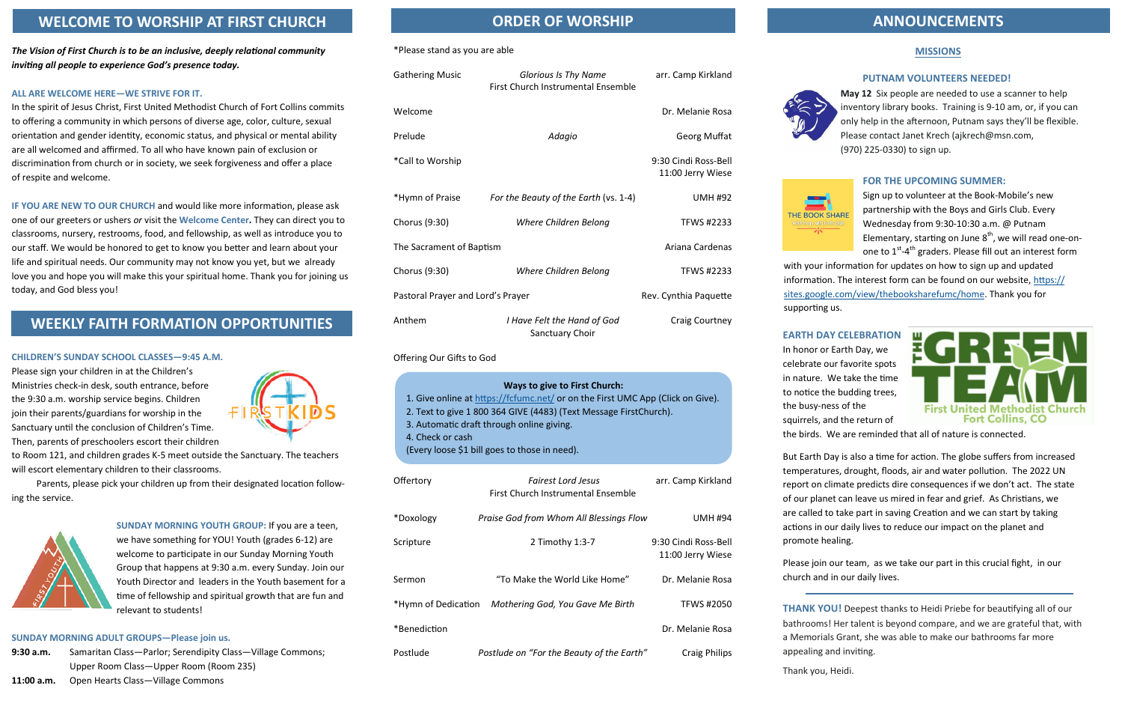#### \*Please stand as you are able

| <b>Gathering Music</b>            | Glorious Is Thy Name<br><b>First Church Instrumental Ensemble</b> | arr. Camp Kirkland                        |
|-----------------------------------|-------------------------------------------------------------------|-------------------------------------------|
| Welcome                           |                                                                   | Dr. Melanie Rosa                          |
| Prelude                           | Adagio                                                            | Georg Muffat                              |
| *Call to Worship                  |                                                                   | 9:30 Cindi Ross-Bell<br>11:00 Jerry Wiese |
| *Hymn of Praise                   | For the Beauty of the Earth (vs. 1-4)                             | <b>UMH #92</b>                            |
| Chorus (9:30)                     | Where Children Belong                                             | <b>TFWS #2233</b>                         |
| The Sacrament of Baptism          |                                                                   | Ariana Cardenas                           |
| Chorus (9:30)                     | Where Children Belong                                             | <b>TFWS #2233</b>                         |
| Pastoral Prayer and Lord's Prayer |                                                                   | Rev. Cynthia Paquette                     |
| Anthem                            | I Have Felt the Hand of God<br>Sanctuary Choir                    | Craig Courtney                            |

Offering Our Gifts to God

| Offertory           | <b>Fairest Lord Jesus</b><br>First Church Instrumental Ensemble | arr. Camp Kirkland                        |
|---------------------|-----------------------------------------------------------------|-------------------------------------------|
| *Doxology           | Praise God from Whom All Blessings Flow                         | <b>UMH #94</b>                            |
| Scripture           | 2 Timothy 1:3-7                                                 | 9:30 Cindi Ross-Bell<br>11:00 Jerry Wiese |
| Sermon              | "To Make the World Like Home"                                   | Dr. Melanie Rosa                          |
| *Hymn of Dedication | Mothering God, You Gave Me Birth                                | <b>TFWS #2050</b>                         |
| *Benediction        |                                                                 | Dr. Melanie Rosa                          |
| Postlude            | Postlude on "For the Beauty of the Earth"                       | <b>Craig Philips</b>                      |





*The Vision of First Church is to be an inclusive, deeply relational community inviting all people to experience God's presence today.*

## **ALL ARE WELCOME HERE—WE STRIVE FOR IT.**

In the spirit of Jesus Christ, First United Methodist Church of Fort Collins commits to offering a community in which persons of diverse age, color, culture, sexual orientation and gender identity, economic status, and physical or mental ability are all welcomed and affirmed. To all who have known pain of exclusion or discrimination from church or in society, we seek forgiveness and offer a place of respite and welcome.

**IF YOU ARE NEW TO OUR CHURCH** and would like more information, please ask one of our greeters or ushers *or* visit the **Welcome Center.** They can direct you to classrooms, nursery, restrooms, food, and fellowship, as well as introduce you to our staff. We would be honored to get to know you better and learn about your life and spiritual needs. Our community may not know you yet, but we already love you and hope you will make this your spiritual home. Thank you for joining us today, and God bless you!

## **CHILDREN'S SUNDAY SCHOOL CLASSES—9:45 A.M.**

Please sign your children in at the Children's Ministries check-in desk, south entrance, before the 9:30 a.m. worship service begins. Children join their parents/guardians for worship in the Sanctuary until the conclusion of Children's Time. Then, parents of preschoolers escort their children



Sign up to volunteer at the Book-Mobile's new partnership with the Boys and Girls Club. Every Wednesday from 9:30-10:30 a.m. @ Putnam Elementary, starting on June  $8<sup>th</sup>$ , we will read one-onone to  $1^{\text{st}}$ -4<sup>th</sup> graders. Please fill out an interest form

to Room 121, and children grades K-5 meet outside the Sanctuary. The teachers will escort elementary children to their classrooms.

Parents, please pick your children up from their designated location following the service.



**SUNDAY MORNING YOUTH GROUP:** If you are a teen, we have something for YOU! Youth (grades 6-12) are welcome to participate in our Sunday Morning Youth Group that happens at 9:30 a.m. every Sunday. Join our Youth Director and leaders in the Youth basement for a time of fellowship and spiritual growth that are fun and relevant to students!

## **SUNDAY MORNING ADULT GROUPS—Please join us.**

```
9:30 a.m. Samaritan Class—Parlor; Serendipity Class—Village Commons; 
Upper Room Class—Upper Room (Room 235)
```
# **ORDER OF WORSHIP ANNOUNCEMENTS**

**11:00 a.m.** Open Hearts Class—Village Commons

| Ways to give to First Church:                                                  |
|--------------------------------------------------------------------------------|
| 1. Give online at https://fcfumc.net/ or on the First UMC App (Click on Give). |
| 2. Text to give 1 800 364 GIVE (4483) (Text Message FirstChurch).              |
| 3. Automatic draft through online giving.                                      |
| 4. Check or cash                                                               |
| (Every loose \$1 bill goes to those in need).                                  |

# **WELCOME TO WORSHIP AT FIRST CHURCH**

# **WEEKLY FAITH FORMATION OPPORTUNITIES**

# **EARTH DAY CELEBRATION**

In honor or Earth Day, we celebrate our favorite spots in nature. We take the time to notice the budding trees, the busy-ness of the squirrels, and the return of



the birds. We are reminded that all of nature is connected.

But Earth Day is also a time for action. The globe suffers from increased temperatures, drought, floods, air and water pollution. The 2022 UN report on climate predicts dire consequences if we don't act. The state of our planet can leave us mired in fear and grief. As Christians, we are called to take part in saving Creation and we can start by taking actions in our daily lives to reduce our impact on the planet and promote healing.

Please join our team, as we take our part in this crucial fight, in our church and in our daily lives.

# **MISSIONS**

# **PUTNAM VOLUNTEERS NEEDED!**

**May 12** Six people are needed to use a scanner to help inventory library books. Training is 9-10 am, or, if you can only help in the afternoon, Putnam says they'll be flexible. Please contact Janet Krech (ajkrech@msn.com, (970) 225-0330) to sign up.

# **FOR THE UPCOMING SUMMER:**

with your information for updates on how to sign up and updated information. The interest form can be found on our website, [https://](https://sites.google.com/view/thebooksharefumc/home) [sites.google.com/view/thebooksharefumc/home.](https://sites.google.com/view/thebooksharefumc/home) Thank you for

supporting us.

**THANK YOU!** Deepest thanks to Heidi Priebe for beautifying all of our bathrooms! Her talent is beyond compare, and we are grateful that, with a Memorials Grant, she was able to make our bathrooms far more appealing and inviting.

Thank you, Heidi.